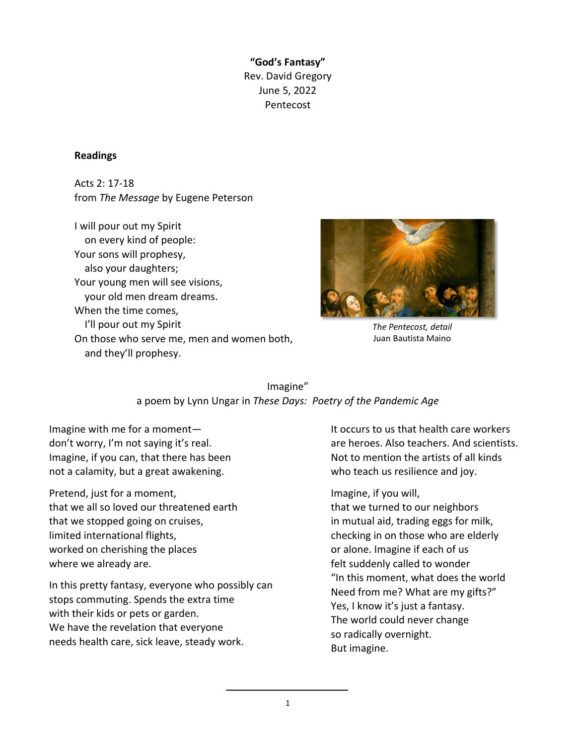**"God's Fantasy"**  Rev. David Gregory June 5, 2022 Pentecost

## **Readings**

Acts 2: 17-18 from *The Message* by Eugene Peterson

I will pour out my Spirit on every kind of people: Your sons will prophesy, also your daughters; Your young men will see visions, your old men dream dreams. When the time comes, I'll pour out my Spirit On those who serve me, men and women both, and they'll prophesy.



*The Pentecost, detail* Juan Bautista Maino

## Imagine" a poem by Lynn Ungar in *These Days: Poetry of the Pandemic Age*

Imagine with me for a moment don't worry, I'm not saying it's real. Imagine, if you can, that there has been not a calamity, but a great awakening.

Pretend, just for a moment, that we all so loved our threatened earth that we stopped going on cruises, limited international flights, worked on cherishing the places where we already are.

In this pretty fantasy, everyone who possibly can stops commuting. Spends the extra time with their kids or pets or garden. We have the revelation that everyone needs health care, sick leave, steady work.

It occurs to us that health care workers are heroes. Also teachers. And scientists. Not to mention the artists of all kinds who teach us resilience and joy.

Imagine, if you will,

that we turned to our neighbors in mutual aid, trading eggs for milk, checking in on those who are elderly or alone. Imagine if each of us felt suddenly called to wonder "In this moment, what does the world Need from me? What are my gifts?" Yes, I know it's just a fantasy. The world could never change so radically overnight. But imagine.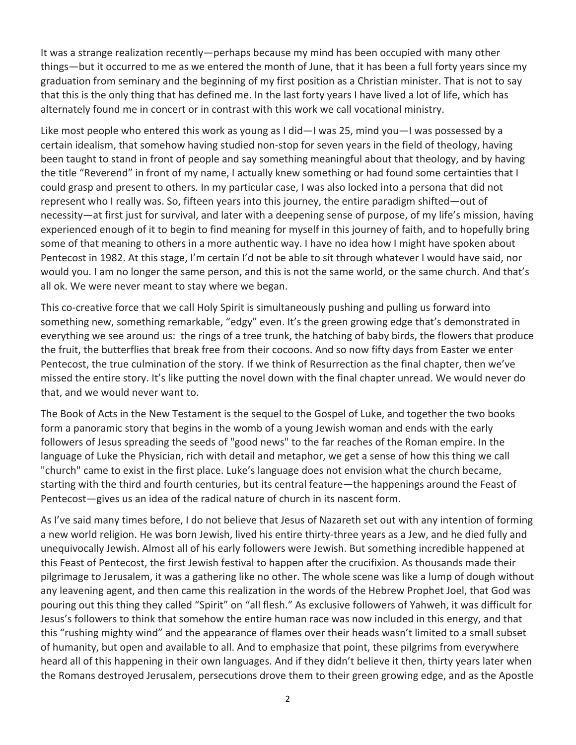It was a strange realization recently—perhaps because my mind has been occupied with many other things—but it occurred to me as we entered the month of June, that it has been a full forty years since my graduation from seminary and the beginning of my first position as a Christian minister. That is not to say that this is the only thing that has defined me. In the last forty years I have lived a lot of life, which has alternately found me in concert or in contrast with this work we call vocational ministry.

Like most people who entered this work as young as I did—I was 25, mind you—I was possessed by a certain idealism, that somehow having studied non-stop for seven years in the field of theology, having been taught to stand in front of people and say something meaningful about that theology, and by having the title "Reverend" in front of my name, I actually knew something or had found some certainties that I could grasp and present to others. In my particular case, I was also locked into a persona that did not represent who I really was. So, fifteen years into this journey, the entire paradigm shifted—out of necessity—at first just for survival, and later with a deepening sense of purpose, of my life's mission, having experienced enough of it to begin to find meaning for myself in this journey of faith, and to hopefully bring some of that meaning to others in a more authentic way. I have no idea how I might have spoken about Pentecost in 1982. At this stage, I'm certain I'd not be able to sit through whatever I would have said, nor would you. I am no longer the same person, and this is not the same world, or the same church. And that's all ok. We were never meant to stay where we began.

This co-creative force that we call Holy Spirit is simultaneously pushing and pulling us forward into something new, something remarkable, "edgy" even. It's the green growing edge that's demonstrated in everything we see around us: the rings of a tree trunk, the hatching of baby birds, the flowers that produce the fruit, the butterflies that break free from their cocoons. And so now fifty days from Easter we enter Pentecost, the true culmination of the story. If we think of Resurrection as the final chapter, then we've missed the entire story. It's like putting the novel down with the final chapter unread. We would never do that, and we would never want to.

The Book of Acts in the New Testament is the sequel to the Gospel of Luke, and together the two books form a panoramic story that begins in the womb of a young Jewish woman and ends with the early followers of Jesus spreading the seeds of "good news" to the far reaches of the Roman empire. In the language of Luke the Physician, rich with detail and metaphor, we get a sense of how this thing we call "church" came to exist in the first place. Luke's language does not envision what the church became, starting with the third and fourth centuries, but its central feature—the happenings around the Feast of Pentecost—gives us an idea of the radical nature of church in its nascent form.

As I've said many times before, I do not believe that Jesus of Nazareth set out with any intention of forming a new world religion. He was born Jewish, lived his entire thirty-three years as a Jew, and he died fully and unequivocally Jewish. Almost all of his early followers were Jewish. But something incredible happened at this Feast of Pentecost, the first Jewish festival to happen after the crucifixion. As thousands made their pilgrimage to Jerusalem, it was a gathering like no other. The whole scene was like a lump of dough without any leavening agent, and then came this realization in the words of the Hebrew Prophet Joel, that God was pouring out this thing they called "Spirit" on "all flesh." As exclusive followers of Yahweh, it was difficult for Jesus's followers to think that somehow the entire human race was now included in this energy, and that this "rushing mighty wind" and the appearance of flames over their heads wasn't limited to a small subset of humanity, but open and available to all. And to emphasize that point, these pilgrims from everywhere heard all of this happening in their own languages. And if they didn't believe it then, thirty years later when the Romans destroyed Jerusalem, persecutions drove them to their green growing edge, and as the Apostle